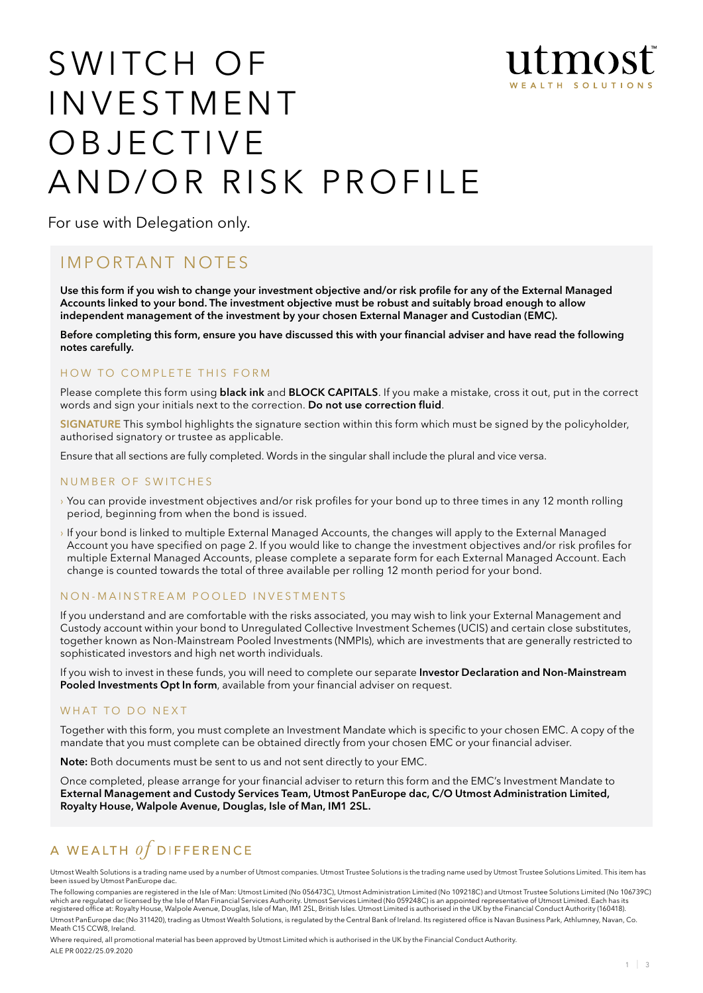

# SWITCH OF **INVESTMENT** O B J E C T I V E AND/OR RISK PROFILE

For use with Delegation only.

# IMPORTANT NOTES

Use this form if you wish to change your investment objective and/or risk profile for any of the External Managed Accounts linked to your bond. The investment objective must be robust and suitably broad enough to allow independent management of the investment by your chosen External Manager and Custodian (EMC).

Before completing this form, ensure you have discussed this with your financial adviser and have read the following notes carefully.

### HOW TO COMPLETE THIS FORM

Please complete this form using black ink and BLOCK CAPITALS. If you make a mistake, cross it out, put in the correct words and sign your initials next to the correction. Do not use correction fluid.

SIGNATURE This symbol highlights the signature section within this form which must be signed by the policyholder, authorised signatory or trustee as applicable.

Ensure that all sections are fully completed. Words in the singular shall include the plural and vice versa.

#### NUMBER OF SWITCHES

- › You can provide investment objectives and/or risk profiles for your bond up to three times in any 12 month rolling period, beginning from when the bond is issued.
- › If your bond is linked to multiple External Managed Accounts, the changes will apply to the External Managed Account you have specified on page 2. If you would like to change the investment objectives and/or risk profiles for multiple External Managed Accounts, please complete a separate form for each External Managed Account. Each change is counted towards the total of three available per rolling 12 month period for your bond.

### NON - MAINSTREAM POOLED INVESTMENTS

If you understand and are comfortable with the risks associated, you may wish to link your External Management and Custody account within your bond to Unregulated Collective Investment Schemes (UCIS) and certain close substitutes, together known as Non-Mainstream Pooled Investments (NMPIs), which are investments that are generally restricted to sophisticated investors and high net worth individuals.

If you wish to invest in these funds, you will need to complete our separate Investor Declaration and Non-Mainstream Pooled Investments Opt In form, available from your financial adviser on request.

### WHAT TO DO NEXT

Together with this form, you must complete an Investment Mandate which is specific to your chosen EMC. A copy of the mandate that you must complete can be obtained directly from your chosen EMC or your financial adviser.

Note: Both documents must be sent to us and not sent directly to your EMC.

Once completed, please arrange for your financial adviser to return this form and the EMC's Investment Mandate to External Management and Custody Services Team, Utmost PanEurope dac, C/O Utmost Administration Limited, Royalty House, Walpole Avenue, Douglas, Isle of Man, IM1 2SL.

# A WEALTH  $of$  DIFFERENCE

Utmost Wealth Solutions is a trading name used by a number of Utmost companies. Utmost Trustee Solutions is the trading name used by Utmost Trustee Solutions Limited. This item has been issued by Utmost PanEurope dac.

The following companies are registered in the Isle of Man: Utmost Limited (No 056473C), Utmost Administration Limited (No 109218C) and Utmost Trustee Solutions Limited (No 106739C)<br>which are regulated or licensed by the Is registered office at: Royalty House, Walpole Avenue, Douglas, Isle of Man, IM1 2SL, British Isles. Utmost Limited is authorised in the UK by the Financial Conduct Authority (160418). Utmost PanEurope dac (No 311420), trading as Utmost Wealth Solutions, is regulated by the Central Bank of Ireland. Its registered office is Navan Business Park, Athlumney, Navan, Co.

Meath C15 CCW8, Ireland.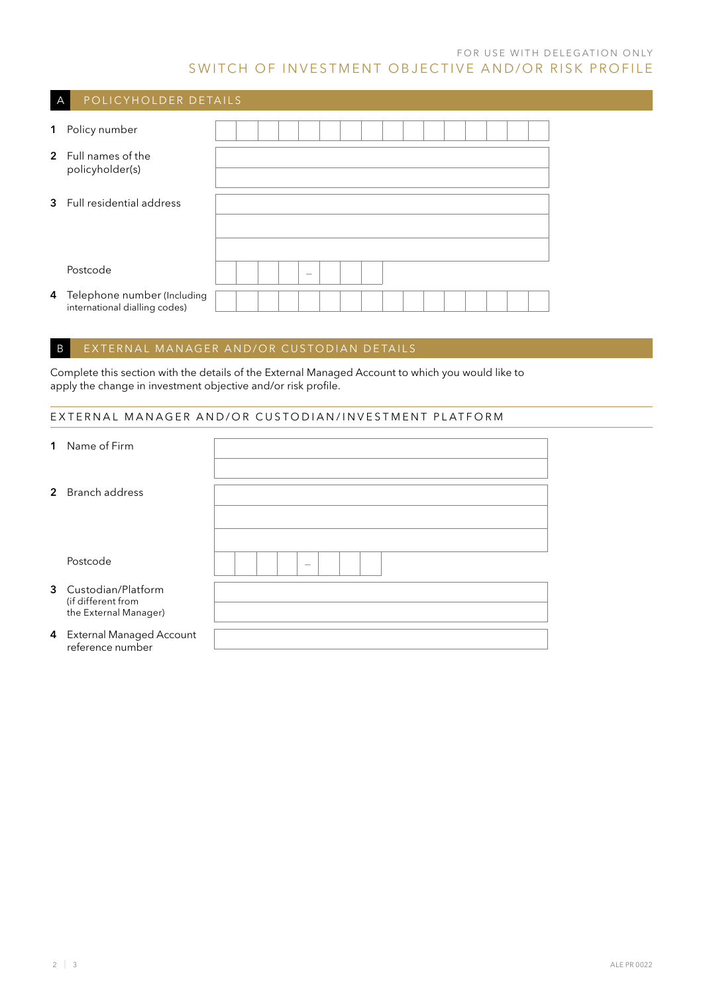### FOR USE WITH DELEGATION ONLY SWITCH OF INVESTMENT OBJECTIVE AND/OR RISK PROFILE

| $\overline{A}$ | POLICYHOLDER DETAILS                                           |  |  |                   |  |  |  |  |  |  |
|----------------|----------------------------------------------------------------|--|--|-------------------|--|--|--|--|--|--|
| $\mathbf 1$    | Policy number                                                  |  |  |                   |  |  |  |  |  |  |
|                | 2 Full names of the<br>policyholder(s)                         |  |  |                   |  |  |  |  |  |  |
|                | 3 Full residential address                                     |  |  |                   |  |  |  |  |  |  |
|                | Postcode                                                       |  |  | $\hspace{0.05cm}$ |  |  |  |  |  |  |
|                | 4 Telephone number (Including<br>international dialling codes) |  |  |                   |  |  |  |  |  |  |

### B EXTERNAL MANAGER AND/OR CUSTODIAN DETAILS

Complete this section with the details of the External Managed Account to which you would like to apply the change in investment objective and/or risk profile.

### EXTERNAL MANAGER AND/OR CUSTODIAN/INVESTMENT PLATFORM

| 1 Name of Firm                                 |  |  |                          |  |  |  |  |
|------------------------------------------------|--|--|--------------------------|--|--|--|--|
|                                                |  |  |                          |  |  |  |  |
|                                                |  |  |                          |  |  |  |  |
| 2 Branch address                               |  |  |                          |  |  |  |  |
|                                                |  |  |                          |  |  |  |  |
|                                                |  |  |                          |  |  |  |  |
| Postcode                                       |  |  | $\overline{\phantom{a}}$ |  |  |  |  |
| 3 Custodian/Platform<br>(if different from     |  |  |                          |  |  |  |  |
| the External Manager)                          |  |  |                          |  |  |  |  |
|                                                |  |  |                          |  |  |  |  |
| 4 External Managed Account<br>reference number |  |  |                          |  |  |  |  |